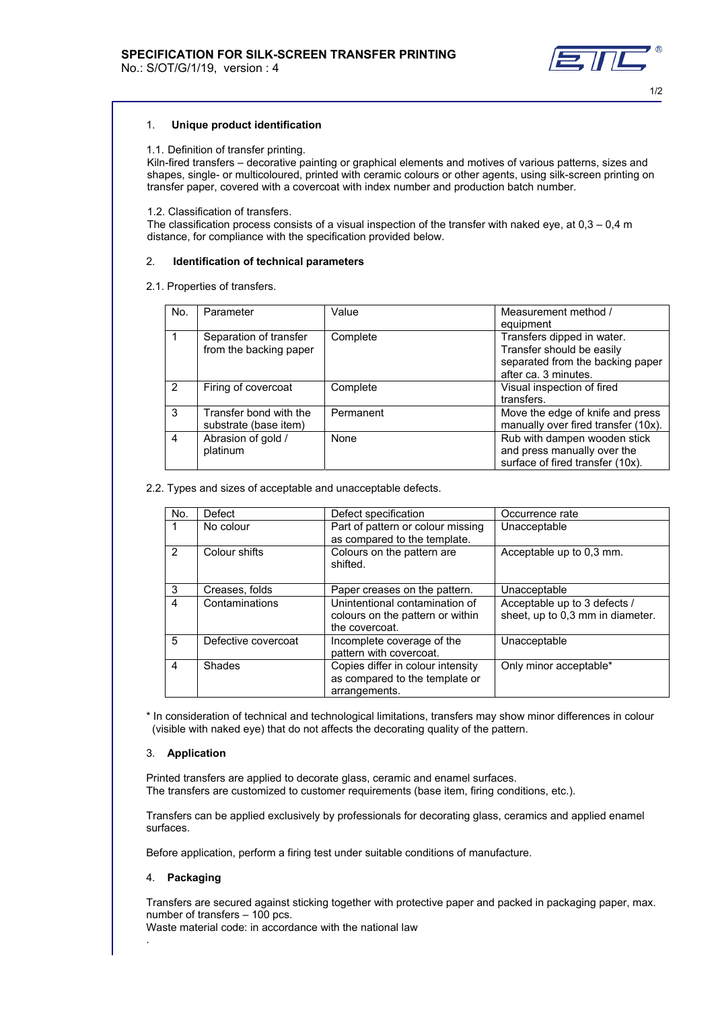No.: S/OT/G/1/19, version : 4



1/2

## 1. **Unique product identification**

## 1.1. Definition of transfer printing.

 Kiln-fired transfers – decorative painting or graphical elements and motives of various patterns, sizes and shapes, single- or multicoloured, printed with ceramic colours or other agents, using silk-screen printing on transfer paper, covered with a covercoat with index number and production batch number.

## 1.2. Classification of transfers.

The classification process consists of a visual inspection of the transfer with naked eye, at  $0,3 - 0,4$  m distance, for compliance with the specification provided below.

## 2. **Identification of technical parameters**

2.1. Properties of transfers.

| No.           | Parameter                                        | Value     | Measurement method /<br>equipment                                                                                   |
|---------------|--------------------------------------------------|-----------|---------------------------------------------------------------------------------------------------------------------|
|               | Separation of transfer<br>from the backing paper | Complete  | Transfers dipped in water.<br>Transfer should be easily<br>separated from the backing paper<br>after ca. 3 minutes. |
| $\mathcal{P}$ | Firing of covercoat                              | Complete  | Visual inspection of fired<br>transfers.                                                                            |
| 3             | Transfer bond with the<br>substrate (base item)  | Permanent | Move the edge of knife and press<br>manually over fired transfer (10x).                                             |
| 4             | Abrasion of gold /<br>platinum                   | None      | Rub with dampen wooden stick<br>and press manually over the<br>surface of fired transfer (10x).                     |

## 2.2. Types and sizes of acceptable and unacceptable defects.

| No.           | Defect              | Defect specification                                                                 | Occurrence rate                                                  |
|---------------|---------------------|--------------------------------------------------------------------------------------|------------------------------------------------------------------|
|               | No colour           | Part of pattern or colour missing<br>as compared to the template.                    | Unacceptable                                                     |
| $\mathcal{P}$ | Colour shifts       | Colours on the pattern are<br>shifted.                                               | Acceptable up to 0.3 mm.                                         |
| 3             | Creases, folds      | Paper creases on the pattern.                                                        | Unacceptable                                                     |
| 4             | Contaminations      | Unintentional contamination of<br>colours on the pattern or within<br>the covercoat. | Acceptable up to 3 defects /<br>sheet, up to 0,3 mm in diameter. |
| 5             | Defective covercoat | Incomplete coverage of the<br>pattern with covercoat.                                | Unacceptable                                                     |
| 4             | Shades              | Copies differ in colour intensity<br>as compared to the template or<br>arrangements. | Only minor acceptable*                                           |

\* In consideration of technical and technological limitations, transfers may show minor differences in colour (visible with naked eye) that do not affects the decorating quality of the pattern.

# 3. **Application**

Printed transfers are applied to decorate glass, ceramic and enamel surfaces. The transfers are customized to customer requirements (base item, firing conditions, etc.).

Transfers can be applied exclusively by professionals for decorating glass, ceramics and applied enamel surfaces.

Before application, perform a firing test under suitable conditions of manufacture.

## 4. **Packaging**

.

Transfers are secured against sticking together with protective paper and packed in packaging paper, max. number of transfers – 100 pcs.

Waste material code: in accordance with the national law